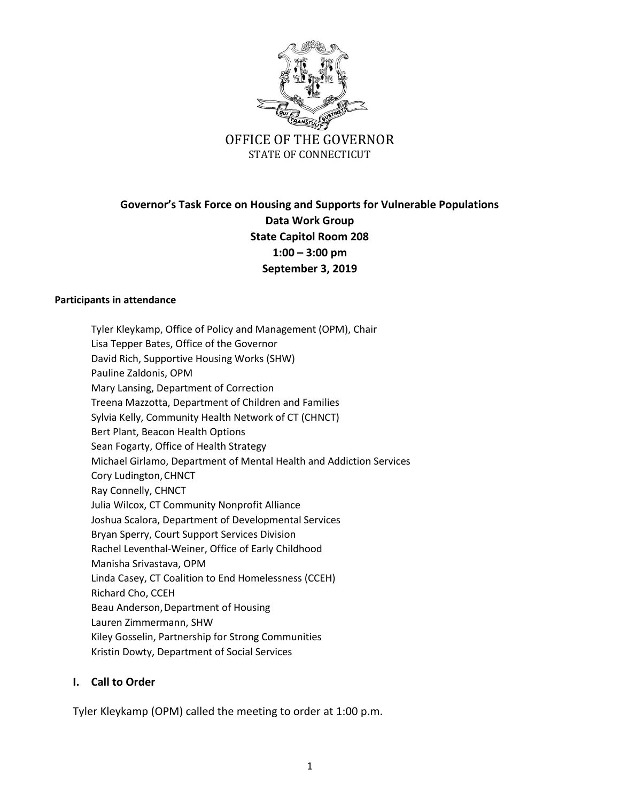

# **Governor's Task Force on Housing and Supports for Vulnerable Populations Data Work Group State Capitol Room 208 1:00 – 3:00 pm September 3, 2019**

#### **Participants in attendance**

Tyler Kleykamp, Office of Policy and Management (OPM), Chair Lisa Tepper Bates, Office of the Governor David Rich, Supportive Housing Works (SHW) Pauline Zaldonis, OPM Mary Lansing, Department of Correction Treena Mazzotta, Department of Children and Families Sylvia Kelly, Community Health Network of CT (CHNCT) Bert Plant, Beacon Health Options Sean Fogarty, Office of Health Strategy Michael Girlamo, Department of Mental Health and Addiction Services Cory Ludington, CHNCT Ray Connelly, CHNCT Julia Wilcox, CT Community Nonprofit Alliance Joshua Scalora, Department of Developmental Services Bryan Sperry, Court Support Services Division Rachel Leventhal-Weiner, Office of Early Childhood Manisha Srivastava, OPM Linda Casey, CT Coalition to End Homelessness (CCEH) Richard Cho, CCEH Beau Anderson,Department of Housing Lauren Zimmermann, SHW Kiley Gosselin, Partnership for Strong Communities Kristin Dowty, Department of Social Services

#### **I. Call to Order**

Tyler Kleykamp (OPM) called the meeting to order at 1:00 p.m.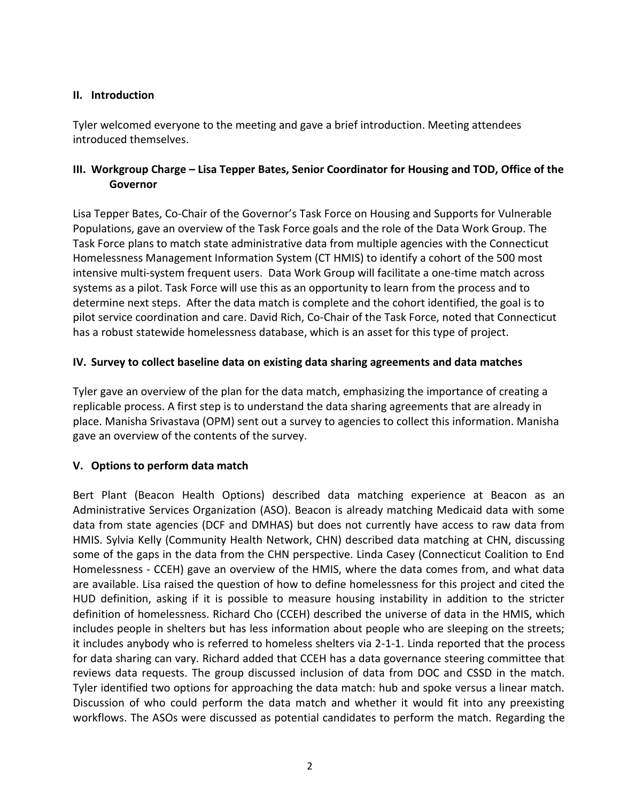### **II. Introduction**

Tyler welcomed everyone to the meeting and gave a brief introduction. Meeting attendees introduced themselves.

# **III. Workgroup Charge – Lisa Tepper Bates, Senior Coordinator for Housing and TOD, Office of the Governor**

Lisa Tepper Bates, Co-Chair of the Governor's Task Force on Housing and Supports for Vulnerable Populations, gave an overview of the Task Force goals and the role of the Data Work Group. The Task Force plans to match state administrative data from multiple agencies with the Connecticut Homelessness Management Information System (CT HMIS) to identify a cohort of the 500 most intensive multi-system frequent users. Data Work Group will facilitate a one-time match across systems as a pilot. Task Force will use this as an opportunity to learn from the process and to determine next steps. After the data match is complete and the cohort identified, the goal is to pilot service coordination and care. David Rich, Co-Chair of the Task Force, noted that Connecticut has a robust statewide homelessness database, which is an asset for this type of project.

# **IV. Survey to collect baseline data on existing data sharing agreements and data matches**

Tyler gave an overview of the plan for the data match, emphasizing the importance of creating a replicable process. A first step is to understand the data sharing agreements that are already in place. Manisha Srivastava (OPM) sent out a survey to agencies to collect this information. Manisha gave an overview of the contents of the survey.

# **V. Options to perform data match**

Bert Plant (Beacon Health Options) described data matching experience at Beacon as an Administrative Services Organization (ASO). Beacon is already matching Medicaid data with some data from state agencies (DCF and DMHAS) but does not currently have access to raw data from HMIS. Sylvia Kelly (Community Health Network, CHN) described data matching at CHN, discussing some of the gaps in the data from the CHN perspective. Linda Casey (Connecticut Coalition to End Homelessness - CCEH) gave an overview of the HMIS, where the data comes from, and what data are available. Lisa raised the question of how to define homelessness for this project and cited the HUD definition, asking if it is possible to measure housing instability in addition to the stricter definition of homelessness. Richard Cho (CCEH) described the universe of data in the HMIS, which includes people in shelters but has less information about people who are sleeping on the streets; it includes anybody who is referred to homeless shelters via 2-1-1. Linda reported that the process for data sharing can vary. Richard added that CCEH has a data governance steering committee that reviews data requests. The group discussed inclusion of data from DOC and CSSD in the match. Tyler identified two options for approaching the data match: hub and spoke versus a linear match. Discussion of who could perform the data match and whether it would fit into any preexisting workflows. The ASOs were discussed as potential candidates to perform the match. Regarding the